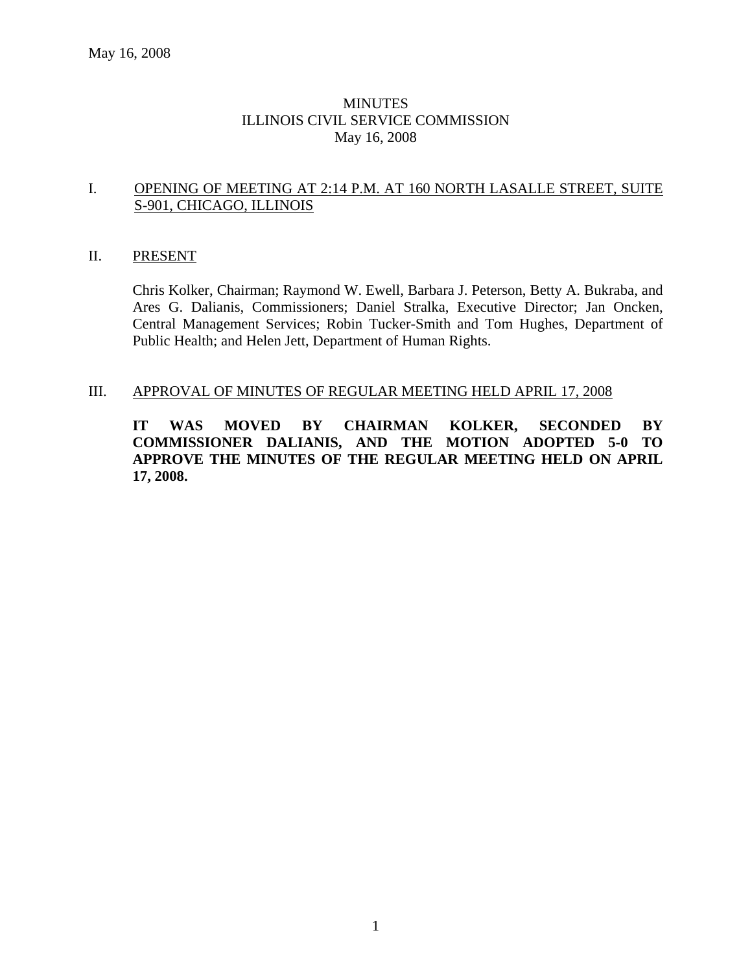## MINUTES ILLINOIS CIVIL SERVICE COMMISSION May 16, 2008

#### I. OPENING OF MEETING AT 2:14 P.M. AT 160 NORTH LASALLE STREET, SUITE S-901, CHICAGO, ILLINOIS

#### II. PRESENT

Chris Kolker, Chairman; Raymond W. Ewell, Barbara J. Peterson, Betty A. Bukraba, and Ares G. Dalianis, Commissioners; Daniel Stralka, Executive Director; Jan Oncken, Central Management Services; Robin Tucker-Smith and Tom Hughes, Department of Public Health; and Helen Jett, Department of Human Rights.

#### III. APPROVAL OF MINUTES OF REGULAR MEETING HELD APRIL 17, 2008

**IT WAS MOVED BY CHAIRMAN KOLKER, SECONDED BY COMMISSIONER DALIANIS, AND THE MOTION ADOPTED 5-0 TO APPROVE THE MINUTES OF THE REGULAR MEETING HELD ON APRIL 17, 2008.**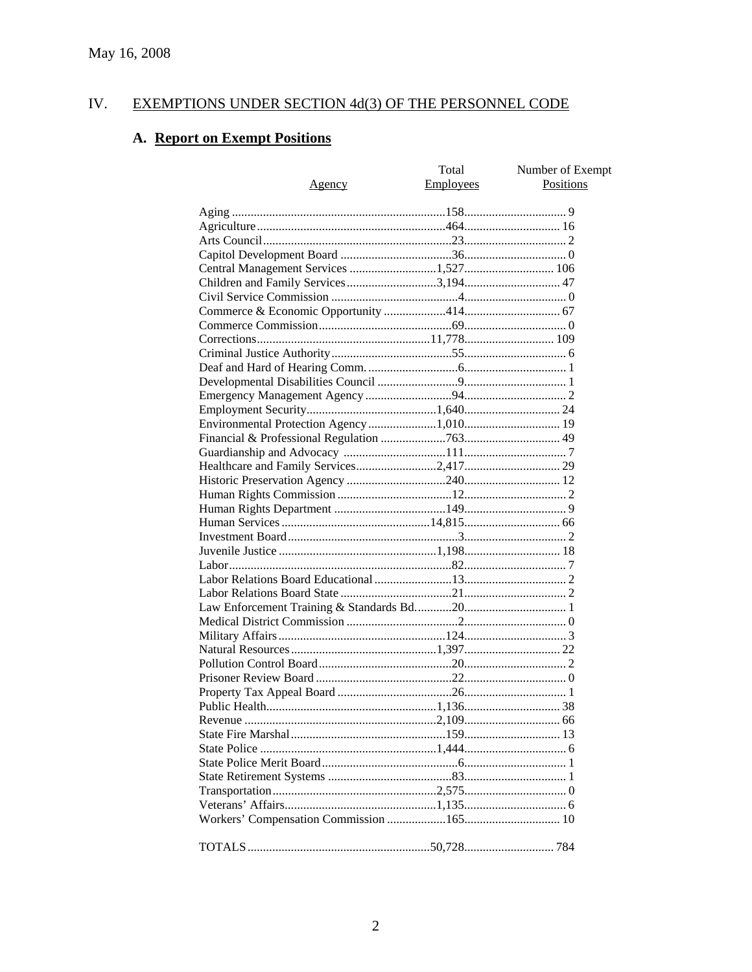#### IV. **EXEMPTIONS UNDER SECTION 4d(3) OF THE PERSONNEL CODE**

# A. Report on Exempt Positions

| <u>Agency</u>                         | Total<br>Employees | Number of Exempt<br><b>Positions</b> |
|---------------------------------------|--------------------|--------------------------------------|
|                                       |                    |                                      |
|                                       |                    |                                      |
|                                       |                    |                                      |
|                                       |                    |                                      |
| Central Management Services 1,527 106 |                    |                                      |
| Children and Family Services3,194 47  |                    |                                      |
|                                       |                    |                                      |
|                                       |                    |                                      |
|                                       |                    |                                      |
|                                       |                    |                                      |
|                                       |                    |                                      |
|                                       |                    |                                      |
|                                       |                    |                                      |
|                                       |                    |                                      |
|                                       |                    |                                      |
|                                       |                    |                                      |
|                                       |                    |                                      |
|                                       |                    |                                      |
|                                       |                    |                                      |
|                                       |                    |                                      |
|                                       |                    |                                      |
|                                       |                    |                                      |
|                                       |                    |                                      |
|                                       |                    |                                      |
|                                       |                    |                                      |
|                                       |                    |                                      |
|                                       |                    |                                      |
|                                       |                    |                                      |
|                                       |                    |                                      |
|                                       |                    |                                      |
|                                       |                    |                                      |
|                                       |                    |                                      |
|                                       |                    |                                      |
|                                       |                    |                                      |
|                                       |                    |                                      |
|                                       |                    |                                      |
|                                       |                    |                                      |
|                                       |                    |                                      |
|                                       |                    |                                      |
|                                       |                    |                                      |
|                                       |                    |                                      |
|                                       |                    |                                      |
|                                       |                    |                                      |
|                                       |                    |                                      |
|                                       |                    |                                      |
|                                       |                    |                                      |
|                                       |                    |                                      |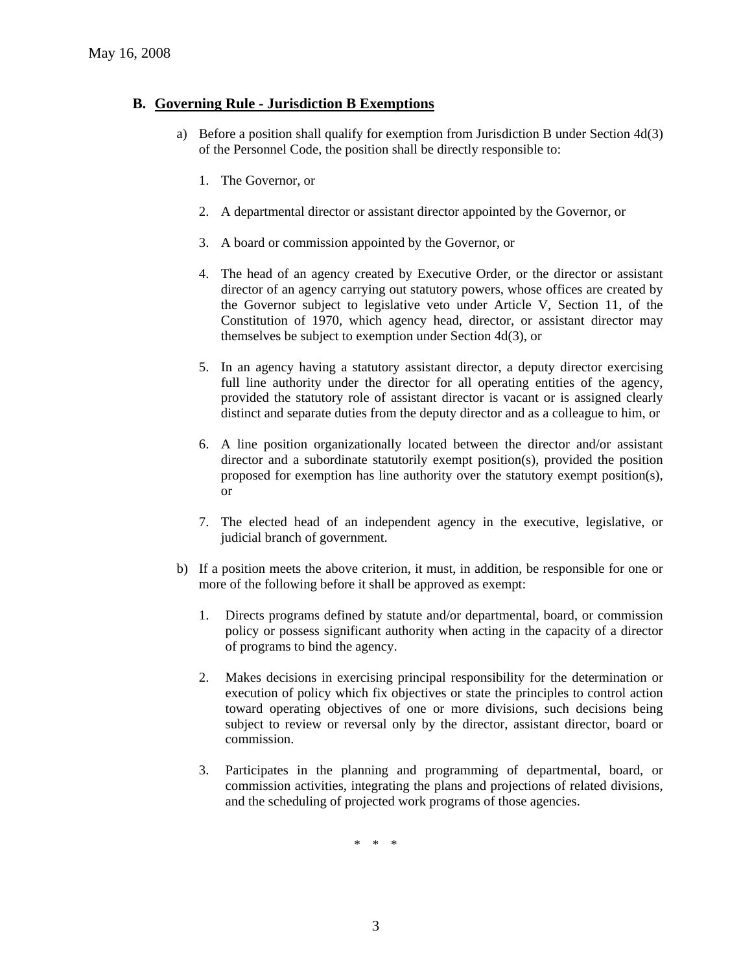#### **B. Governing Rule - Jurisdiction B Exemptions**

- a) Before a position shall qualify for exemption from Jurisdiction B under Section 4d(3) of the Personnel Code, the position shall be directly responsible to:
	- 1. The Governor, or
	- 2. A departmental director or assistant director appointed by the Governor, or
	- 3. A board or commission appointed by the Governor, or
	- 4. The head of an agency created by Executive Order, or the director or assistant director of an agency carrying out statutory powers, whose offices are created by the Governor subject to legislative veto under Article V, Section 11, of the Constitution of 1970, which agency head, director, or assistant director may themselves be subject to exemption under Section 4d(3), or
	- 5. In an agency having a statutory assistant director, a deputy director exercising full line authority under the director for all operating entities of the agency, provided the statutory role of assistant director is vacant or is assigned clearly distinct and separate duties from the deputy director and as a colleague to him, or
	- 6. A line position organizationally located between the director and/or assistant director and a subordinate statutorily exempt position(s), provided the position proposed for exemption has line authority over the statutory exempt position(s), or
	- 7. The elected head of an independent agency in the executive, legislative, or judicial branch of government.
- b) If a position meets the above criterion, it must, in addition, be responsible for one or more of the following before it shall be approved as exempt:
	- 1. Directs programs defined by statute and/or departmental, board, or commission policy or possess significant authority when acting in the capacity of a director of programs to bind the agency.
	- 2. Makes decisions in exercising principal responsibility for the determination or execution of policy which fix objectives or state the principles to control action toward operating objectives of one or more divisions, such decisions being subject to review or reversal only by the director, assistant director, board or commission.
	- 3. Participates in the planning and programming of departmental, board, or commission activities, integrating the plans and projections of related divisions, and the scheduling of projected work programs of those agencies.

\* \* \*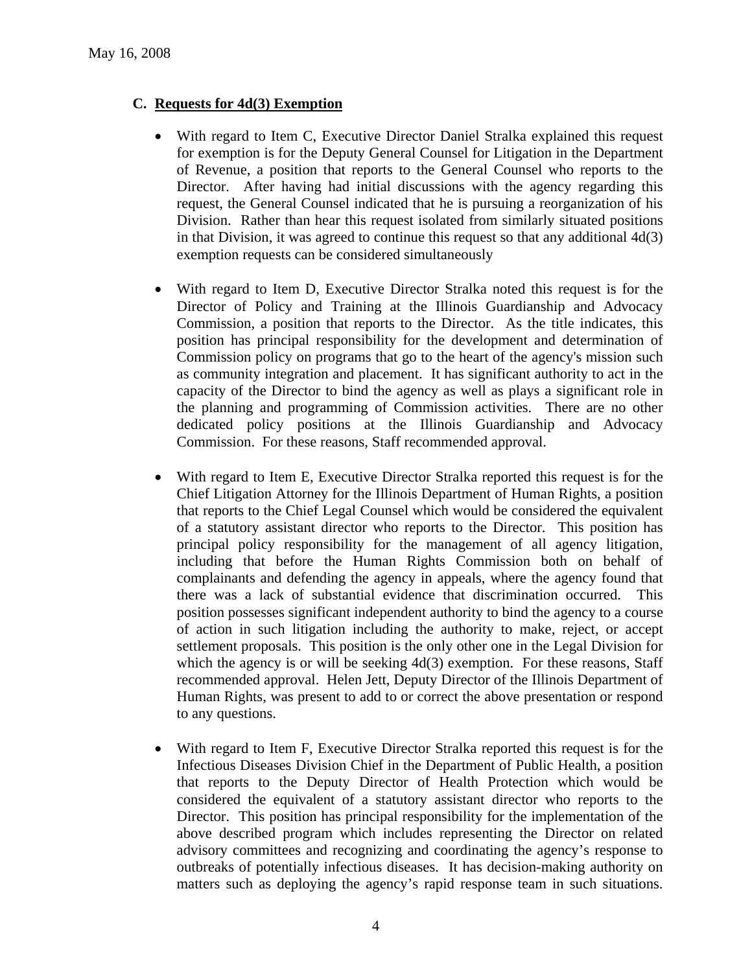## **C. Requests for 4d(3) Exemption**

- With regard to Item C, Executive Director Daniel Stralka explained this request for exemption is for the Deputy General Counsel for Litigation in the Department of Revenue, a position that reports to the General Counsel who reports to the Director. After having had initial discussions with the agency regarding this request, the General Counsel indicated that he is pursuing a reorganization of his Division. Rather than hear this request isolated from similarly situated positions in that Division, it was agreed to continue this request so that any additional 4d(3) exemption requests can be considered simultaneously
- With regard to Item D, Executive Director Stralka noted this request is for the Director of Policy and Training at the Illinois Guardianship and Advocacy Commission, a position that reports to the Director. As the title indicates, this position has principal responsibility for the development and determination of Commission policy on programs that go to the heart of the agency's mission such as community integration and placement. It has significant authority to act in the capacity of the Director to bind the agency as well as plays a significant role in the planning and programming of Commission activities. There are no other dedicated policy positions at the Illinois Guardianship and Advocacy Commission. For these reasons, Staff recommended approval.
- With regard to Item E, Executive Director Stralka reported this request is for the Chief Litigation Attorney for the Illinois Department of Human Rights, a position that reports to the Chief Legal Counsel which would be considered the equivalent of a statutory assistant director who reports to the Director. This position has principal policy responsibility for the management of all agency litigation, including that before the Human Rights Commission both on behalf of complainants and defending the agency in appeals, where the agency found that there was a lack of substantial evidence that discrimination occurred. This position possesses significant independent authority to bind the agency to a course of action in such litigation including the authority to make, reject, or accept settlement proposals. This position is the only other one in the Legal Division for which the agency is or will be seeking  $4d(3)$  exemption. For these reasons, Staff recommended approval. Helen Jett, Deputy Director of the Illinois Department of Human Rights, was present to add to or correct the above presentation or respond to any questions.
- With regard to Item F, Executive Director Stralka reported this request is for the Infectious Diseases Division Chief in the Department of Public Health, a position that reports to the Deputy Director of Health Protection which would be considered the equivalent of a statutory assistant director who reports to the Director. This position has principal responsibility for the implementation of the above described program which includes representing the Director on related advisory committees and recognizing and coordinating the agency's response to outbreaks of potentially infectious diseases. It has decision-making authority on matters such as deploying the agency's rapid response team in such situations.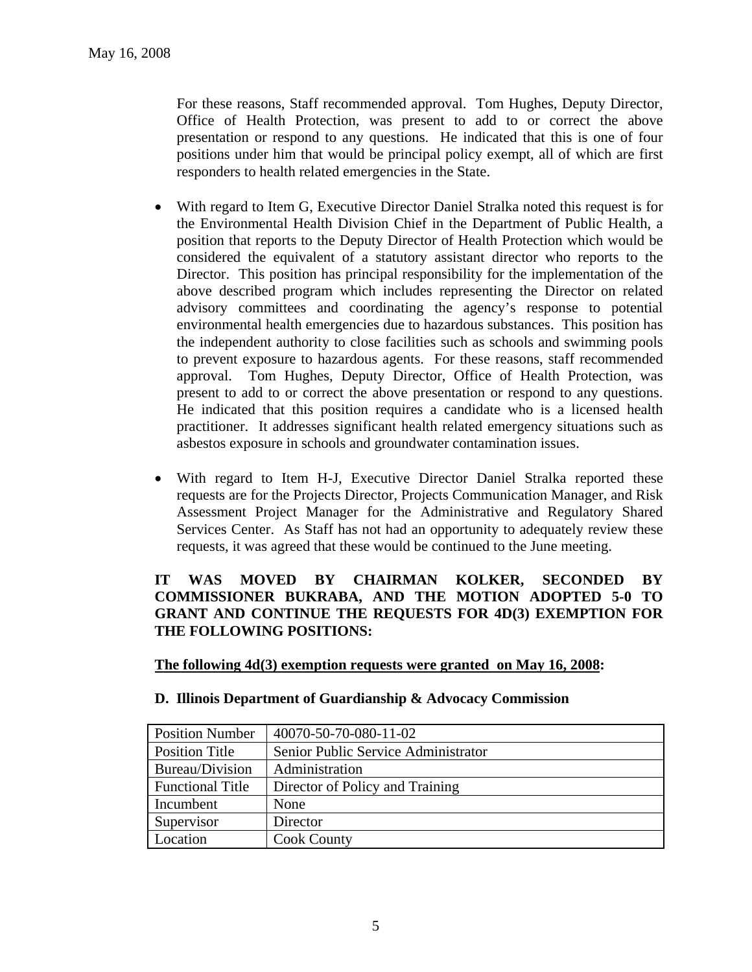For these reasons, Staff recommended approval. Tom Hughes, Deputy Director, Office of Health Protection, was present to add to or correct the above presentation or respond to any questions. He indicated that this is one of four positions under him that would be principal policy exempt, all of which are first responders to health related emergencies in the State.

- With regard to Item G, Executive Director Daniel Stralka noted this request is for the Environmental Health Division Chief in the Department of Public Health, a position that reports to the Deputy Director of Health Protection which would be considered the equivalent of a statutory assistant director who reports to the Director. This position has principal responsibility for the implementation of the above described program which includes representing the Director on related advisory committees and coordinating the agency's response to potential environmental health emergencies due to hazardous substances. This position has the independent authority to close facilities such as schools and swimming pools to prevent exposure to hazardous agents. For these reasons, staff recommended approval. Tom Hughes, Deputy Director, Office of Health Protection, was present to add to or correct the above presentation or respond to any questions. He indicated that this position requires a candidate who is a licensed health practitioner. It addresses significant health related emergency situations such as asbestos exposure in schools and groundwater contamination issues.
- With regard to Item H-J, Executive Director Daniel Stralka reported these requests are for the Projects Director, Projects Communication Manager, and Risk Assessment Project Manager for the Administrative and Regulatory Shared Services Center. As Staff has not had an opportunity to adequately review these requests, it was agreed that these would be continued to the June meeting.

## **IT WAS MOVED BY CHAIRMAN KOLKER, SECONDED BY COMMISSIONER BUKRABA, AND THE MOTION ADOPTED 5-0 TO GRANT AND CONTINUE THE REQUESTS FOR 4D(3) EXEMPTION FOR THE FOLLOWING POSITIONS:**

#### **The following 4d(3) exemption requests were granted on May 16, 2008:**

| <b>Position Number</b>  | 40070-50-70-080-11-02               |
|-------------------------|-------------------------------------|
| Position Title          | Senior Public Service Administrator |
| Bureau/Division         | Administration                      |
| <b>Functional Title</b> | Director of Policy and Training     |
| Incumbent               | None                                |
| Supervisor              | Director                            |
| Location                | <b>Cook County</b>                  |

#### **D. Illinois Department of Guardianship & Advocacy Commission**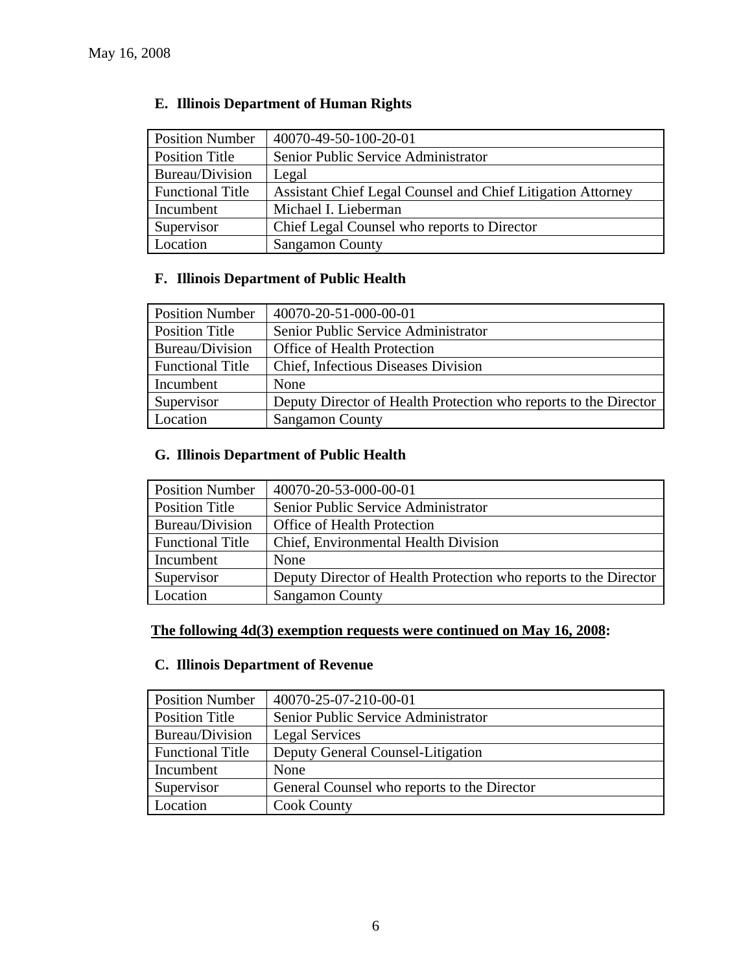| <b>Position Number</b>  | 40070-49-50-100-20-01                                       |
|-------------------------|-------------------------------------------------------------|
| Position Title          | Senior Public Service Administrator                         |
| Bureau/Division         | Legal                                                       |
| <b>Functional Title</b> | Assistant Chief Legal Counsel and Chief Litigation Attorney |
| Incumbent               | Michael I. Lieberman                                        |
| Supervisor              | Chief Legal Counsel who reports to Director                 |
| Location                | <b>Sangamon County</b>                                      |

# **E. Illinois Department of Human Rights**

# **F. Illinois Department of Public Health**

| <b>Position Number</b>  | 40070-20-51-000-00-01                                            |
|-------------------------|------------------------------------------------------------------|
| <b>Position Title</b>   | Senior Public Service Administrator                              |
| Bureau/Division         | <b>Office of Health Protection</b>                               |
| <b>Functional Title</b> | Chief, Infectious Diseases Division                              |
| Incumbent               | None                                                             |
| Supervisor              | Deputy Director of Health Protection who reports to the Director |
| Location                | <b>Sangamon County</b>                                           |

# **G. Illinois Department of Public Health**

| <b>Position Number</b>  | 40070-20-53-000-00-01                                            |
|-------------------------|------------------------------------------------------------------|
| Position Title          | Senior Public Service Administrator                              |
| Bureau/Division         | Office of Health Protection                                      |
| <b>Functional Title</b> | Chief, Environmental Health Division                             |
| Incumbent               | None                                                             |
| Supervisor              | Deputy Director of Health Protection who reports to the Director |
| Location                | <b>Sangamon County</b>                                           |

# **The following 4d(3) exemption requests were continued on May 16, 2008:**

## **C. Illinois Department of Revenue**

| <b>Position Number</b>  | 40070-25-07-210-00-01                       |
|-------------------------|---------------------------------------------|
| Position Title          | Senior Public Service Administrator         |
| Bureau/Division         | Legal Services                              |
| <b>Functional Title</b> | Deputy General Counsel-Litigation           |
| Incumbent               | None                                        |
| Supervisor              | General Counsel who reports to the Director |
| Location                | <b>Cook County</b>                          |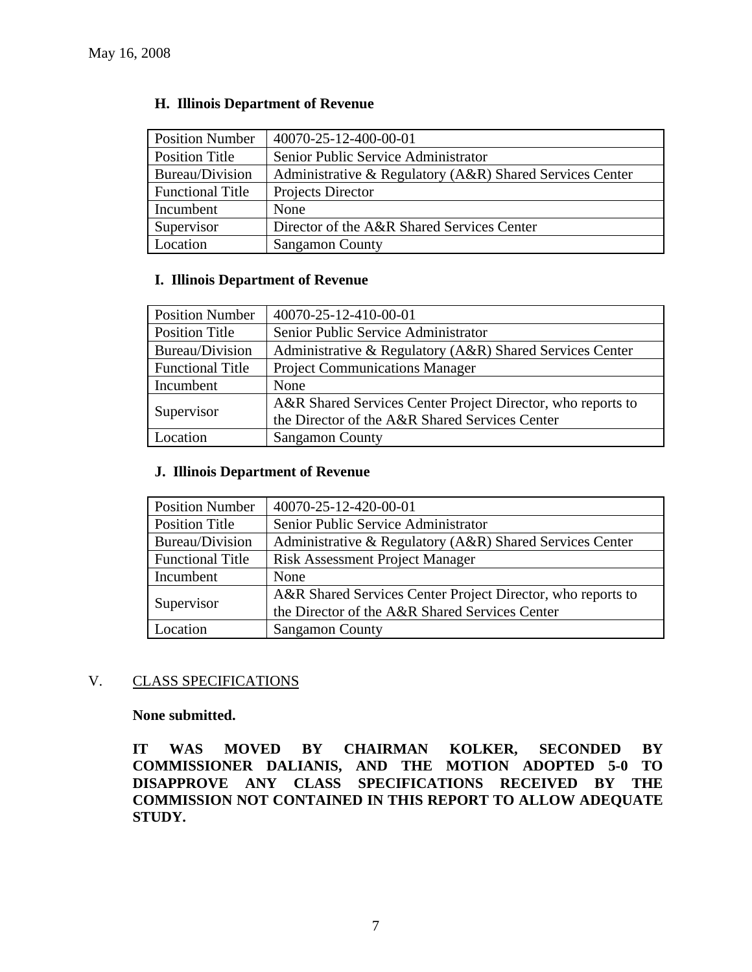| <b>Position Number</b>  | 40070-25-12-400-00-01                                    |
|-------------------------|----------------------------------------------------------|
| <b>Position Title</b>   | Senior Public Service Administrator                      |
| Bureau/Division         | Administrative & Regulatory (A&R) Shared Services Center |
| <b>Functional Title</b> | Projects Director                                        |
| Incumbent               | None                                                     |
| Supervisor              | Director of the A&R Shared Services Center               |
| Location                | <b>Sangamon County</b>                                   |

#### **H. Illinois Department of Revenue**

#### **I. Illinois Department of Revenue**

| <b>Position Number</b>  | 40070-25-12-410-00-01                                       |
|-------------------------|-------------------------------------------------------------|
| <b>Position Title</b>   | Senior Public Service Administrator                         |
| Bureau/Division         | Administrative & Regulatory (A&R) Shared Services Center    |
| <b>Functional Title</b> | <b>Project Communications Manager</b>                       |
| Incumbent               | None                                                        |
| Supervisor              | A&R Shared Services Center Project Director, who reports to |
|                         | the Director of the A&R Shared Services Center              |
| Location                | <b>Sangamon County</b>                                      |

### **J. Illinois Department of Revenue**

| <b>Position Number</b>  | 40070-25-12-420-00-01                                       |  |  |
|-------------------------|-------------------------------------------------------------|--|--|
| <b>Position Title</b>   | Senior Public Service Administrator                         |  |  |
| Bureau/Division         | Administrative & Regulatory (A&R) Shared Services Center    |  |  |
| <b>Functional Title</b> | <b>Risk Assessment Project Manager</b>                      |  |  |
| Incumbent               | None                                                        |  |  |
|                         | A&R Shared Services Center Project Director, who reports to |  |  |
| Supervisor              | the Director of the A&R Shared Services Center              |  |  |
| Location                | <b>Sangamon County</b>                                      |  |  |

#### V. CLASS SPECIFICATIONS

**None submitted.** 

**IT WAS MOVED BY CHAIRMAN KOLKER, SECONDED BY COMMISSIONER DALIANIS, AND THE MOTION ADOPTED 5-0 TO DISAPPROVE ANY CLASS SPECIFICATIONS RECEIVED BY THE COMMISSION NOT CONTAINED IN THIS REPORT TO ALLOW ADEQUATE STUDY.**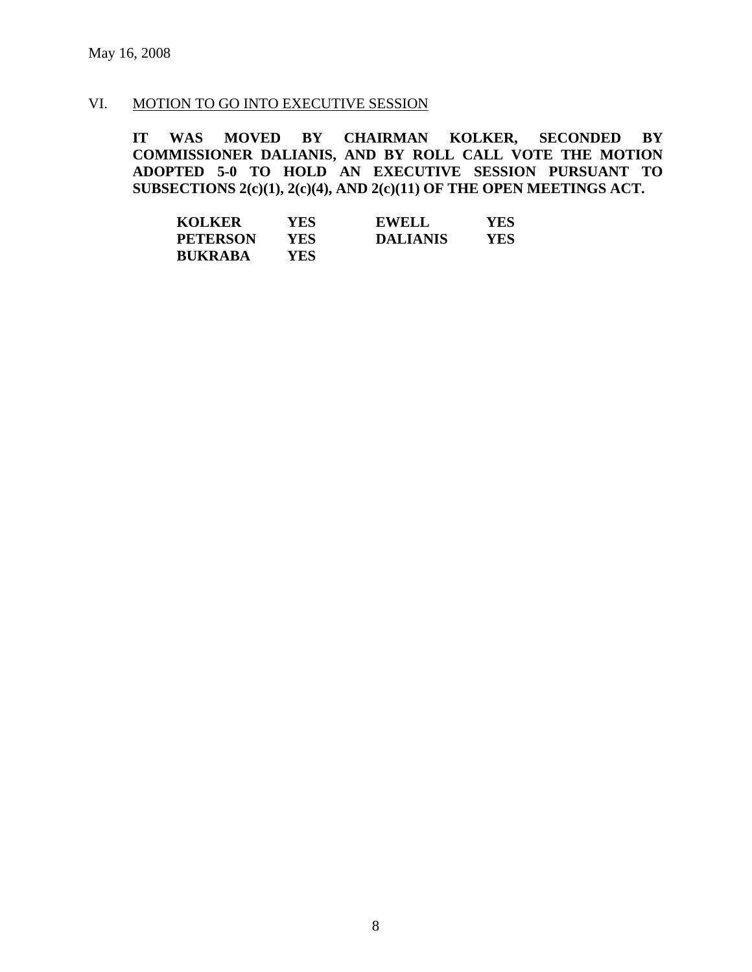#### VI. MOTION TO GO INTO EXECUTIVE SESSION

**IT WAS MOVED BY CHAIRMAN KOLKER, SECONDED BY COMMISSIONER DALIANIS, AND BY ROLL CALL VOTE THE MOTION ADOPTED 5-0 TO HOLD AN EXECUTIVE SESSION PURSUANT TO SUBSECTIONS 2(c)(1), 2(c)(4), AND 2(c)(11) OF THE OPEN MEETINGS ACT.** 

| <b>KOLKER</b>   | YES | <b>EWELL</b>    | YES |
|-----------------|-----|-----------------|-----|
| <b>PETERSON</b> | YES | <b>DALIANIS</b> | YES |
| <b>BUKRABA</b>  | YES |                 |     |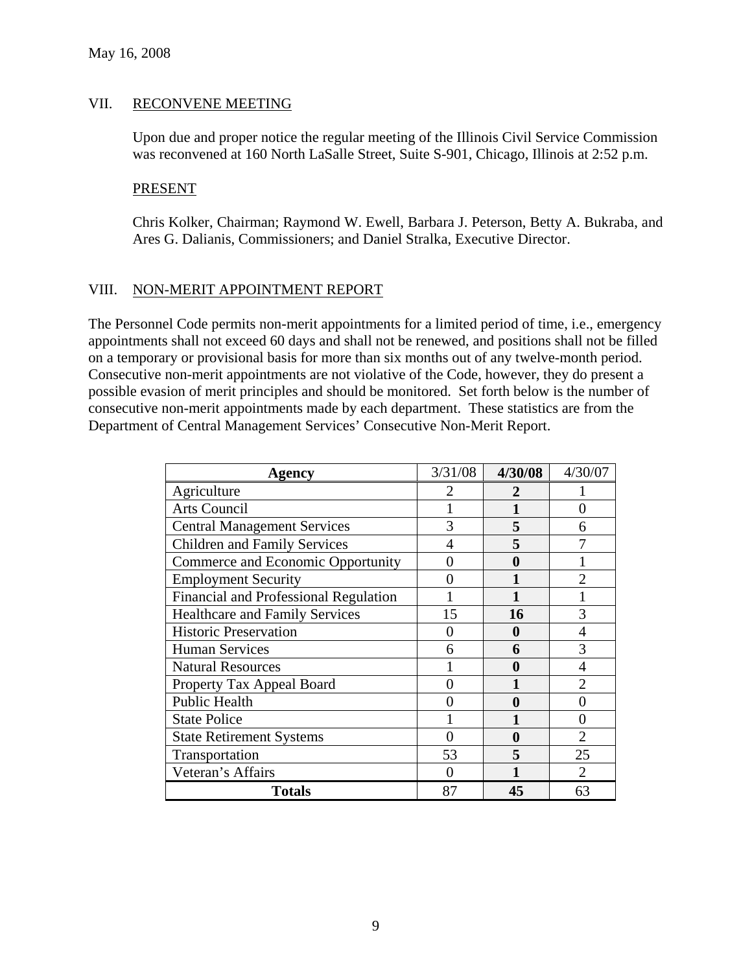## VII. RECONVENE MEETING

Upon due and proper notice the regular meeting of the Illinois Civil Service Commission was reconvened at 160 North LaSalle Street, Suite S-901, Chicago, Illinois at 2:52 p.m.

#### **PRESENT**

Chris Kolker, Chairman; Raymond W. Ewell, Barbara J. Peterson, Betty A. Bukraba, and Ares G. Dalianis, Commissioners; and Daniel Stralka, Executive Director.

#### VIII. NON-MERIT APPOINTMENT REPORT

The Personnel Code permits non-merit appointments for a limited period of time, i.e., emergency appointments shall not exceed 60 days and shall not be renewed, and positions shall not be filled on a temporary or provisional basis for more than six months out of any twelve-month period. Consecutive non-merit appointments are not violative of the Code, however, they do present a possible evasion of merit principles and should be monitored. Set forth below is the number of consecutive non-merit appointments made by each department. These statistics are from the Department of Central Management Services' Consecutive Non-Merit Report.

| <b>Agency</b>                         | 3/31/08 | 4/30/08  | 4/30/07                     |
|---------------------------------------|---------|----------|-----------------------------|
| Agriculture                           | 2       | 2        |                             |
| <b>Arts Council</b>                   |         |          | 0                           |
| <b>Central Management Services</b>    | 3       | 5        | 6                           |
| <b>Children and Family Services</b>   |         | 5        |                             |
| Commerce and Economic Opportunity     | 0       | $\bf{0}$ |                             |
| <b>Employment Security</b>            |         |          | $\mathfrak{D}$              |
| Financial and Professional Regulation |         |          |                             |
| <b>Healthcare and Family Services</b> | 15      | 16       | 3                           |
| <b>Historic Preservation</b>          |         | 0        | $\overline{4}$              |
| <b>Human Services</b>                 | 6       | 6        | 3                           |
| <b>Natural Resources</b>              |         | 0        |                             |
| Property Tax Appeal Board             |         |          |                             |
| <b>Public Health</b>                  |         | $\bf{0}$ |                             |
| <b>State Police</b>                   |         |          | O                           |
| <b>State Retirement Systems</b>       |         | 0        | $\overline{2}$              |
| Transportation                        | 53      | 5        | 25                          |
| Veteran's Affairs                     |         |          | $\mathcal{D}_{\mathcal{L}}$ |
| <b>Totals</b>                         | 87      | 45       | 63                          |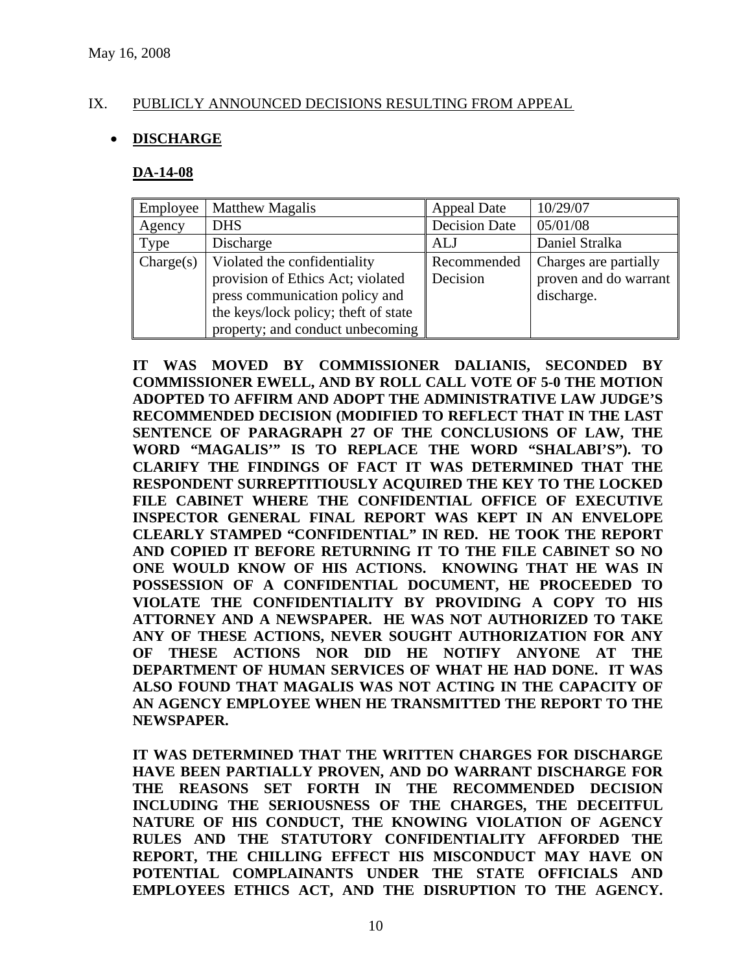## IX. PUBLICLY ANNOUNCED DECISIONS RESULTING FROM APPEAL

### • **DISCHARGE**

#### **DA-14-08**

| Employee  | <b>Matthew Magalis</b>                | <b>Appeal Date</b>   | 10/29/07              |
|-----------|---------------------------------------|----------------------|-----------------------|
| Agency    | <b>DHS</b>                            | <b>Decision Date</b> | 05/01/08              |
| Type      | Discharge                             | ALJ                  | Daniel Stralka        |
| Change(s) | Violated the confidentiality          | Recommended          | Charges are partially |
|           | provision of Ethics Act; violated     | Decision             | proven and do warrant |
|           | press communication policy and        |                      | discharge.            |
|           | the keys/lock policy; the ft of state |                      |                       |
|           | property; and conduct unbecoming      |                      |                       |

**IT WAS MOVED BY COMMISSIONER DALIANIS, SECONDED BY COMMISSIONER EWELL, AND BY ROLL CALL VOTE OF 5-0 THE MOTION ADOPTED TO AFFIRM AND ADOPT THE ADMINISTRATIVE LAW JUDGE'S RECOMMENDED DECISION (MODIFIED TO REFLECT THAT IN THE LAST SENTENCE OF PARAGRAPH 27 OF THE CONCLUSIONS OF LAW, THE WORD "MAGALIS'" IS TO REPLACE THE WORD "SHALABI'S"). TO CLARIFY THE FINDINGS OF FACT IT WAS DETERMINED THAT THE RESPONDENT SURREPTITIOUSLY ACQUIRED THE KEY TO THE LOCKED FILE CABINET WHERE THE CONFIDENTIAL OFFICE OF EXECUTIVE INSPECTOR GENERAL FINAL REPORT WAS KEPT IN AN ENVELOPE CLEARLY STAMPED "CONFIDENTIAL" IN RED. HE TOOK THE REPORT AND COPIED IT BEFORE RETURNING IT TO THE FILE CABINET SO NO ONE WOULD KNOW OF HIS ACTIONS. KNOWING THAT HE WAS IN POSSESSION OF A CONFIDENTIAL DOCUMENT, HE PROCEEDED TO VIOLATE THE CONFIDENTIALITY BY PROVIDING A COPY TO HIS ATTORNEY AND A NEWSPAPER. HE WAS NOT AUTHORIZED TO TAKE ANY OF THESE ACTIONS, NEVER SOUGHT AUTHORIZATION FOR ANY OF THESE ACTIONS NOR DID HE NOTIFY ANYONE AT THE DEPARTMENT OF HUMAN SERVICES OF WHAT HE HAD DONE. IT WAS ALSO FOUND THAT MAGALIS WAS NOT ACTING IN THE CAPACITY OF AN AGENCY EMPLOYEE WHEN HE TRANSMITTED THE REPORT TO THE NEWSPAPER.** 

**IT WAS DETERMINED THAT THE WRITTEN CHARGES FOR DISCHARGE HAVE BEEN PARTIALLY PROVEN, AND DO WARRANT DISCHARGE FOR THE REASONS SET FORTH IN THE RECOMMENDED DECISION INCLUDING THE SERIOUSNESS OF THE CHARGES, THE DECEITFUL NATURE OF HIS CONDUCT, THE KNOWING VIOLATION OF AGENCY RULES AND THE STATUTORY CONFIDENTIALITY AFFORDED THE REPORT, THE CHILLING EFFECT HIS MISCONDUCT MAY HAVE ON POTENTIAL COMPLAINANTS UNDER THE STATE OFFICIALS AND EMPLOYEES ETHICS ACT, AND THE DISRUPTION TO THE AGENCY.**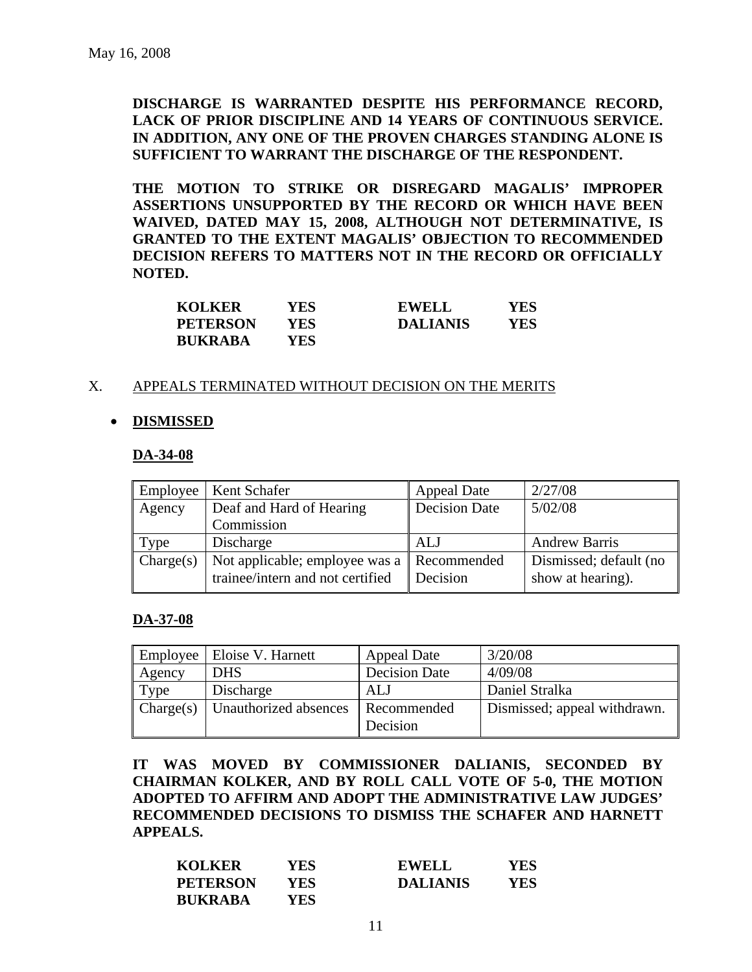**DISCHARGE IS WARRANTED DESPITE HIS PERFORMANCE RECORD, LACK OF PRIOR DISCIPLINE AND 14 YEARS OF CONTINUOUS SERVICE. IN ADDITION, ANY ONE OF THE PROVEN CHARGES STANDING ALONE IS SUFFICIENT TO WARRANT THE DISCHARGE OF THE RESPONDENT.** 

**THE MOTION TO STRIKE OR DISREGARD MAGALIS' IMPROPER ASSERTIONS UNSUPPORTED BY THE RECORD OR WHICH HAVE BEEN WAIVED, DATED MAY 15, 2008, ALTHOUGH NOT DETERMINATIVE, IS GRANTED TO THE EXTENT MAGALIS' OBJECTION TO RECOMMENDED DECISION REFERS TO MATTERS NOT IN THE RECORD OR OFFICIALLY NOTED.** 

| <b>KOLKER</b>   | YES | <b>EWELL</b>    | YES |
|-----------------|-----|-----------------|-----|
| <b>PETERSON</b> | YES | <b>DALIANIS</b> | YES |
| <b>BUKRABA</b>  | YES |                 |     |

#### X. APPEALS TERMINATED WITHOUT DECISION ON THE MERITS

#### • **DISMISSED**

#### **DA-34-08**

| Employee  | Kent Schafer                                                       | <b>Appeal Date</b>      | 2/27/08                                     |
|-----------|--------------------------------------------------------------------|-------------------------|---------------------------------------------|
| Agency    | Deaf and Hard of Hearing                                           | <b>Decision Date</b>    | 5/02/08                                     |
|           | Commission                                                         |                         |                                             |
| Type      | Discharge                                                          | ALJ                     | <b>Andrew Barris</b>                        |
| Change(s) | Not applicable; employee was a<br>trainee/intern and not certified | Recommended<br>Decision | Dismissed; default (no<br>show at hearing). |

#### **DA-37-08**

| Employee  | Eloise V. Harnett     | <b>Appeal Date</b>      | 3/20/08                      |
|-----------|-----------------------|-------------------------|------------------------------|
| Agency    | <b>DHS</b>            | <b>Decision Date</b>    | 4/09/08                      |
| Type      | Discharge             | ALJ                     | Daniel Stralka               |
| Change(s) | Unauthorized absences | Recommended<br>Decision | Dismissed; appeal withdrawn. |

**IT WAS MOVED BY COMMISSIONER DALIANIS, SECONDED BY CHAIRMAN KOLKER, AND BY ROLL CALL VOTE OF 5-0, THE MOTION ADOPTED TO AFFIRM AND ADOPT THE ADMINISTRATIVE LAW JUDGES' RECOMMENDED DECISIONS TO DISMISS THE SCHAFER AND HARNETT APPEALS.** 

| <b>KOLKER</b>   | <b>YES</b> | <b>EWELL</b>    | YES |
|-----------------|------------|-----------------|-----|
| <b>PETERSON</b> | <b>YES</b> | <b>DALIANIS</b> | YES |
| <b>BUKRABA</b>  | YES        |                 |     |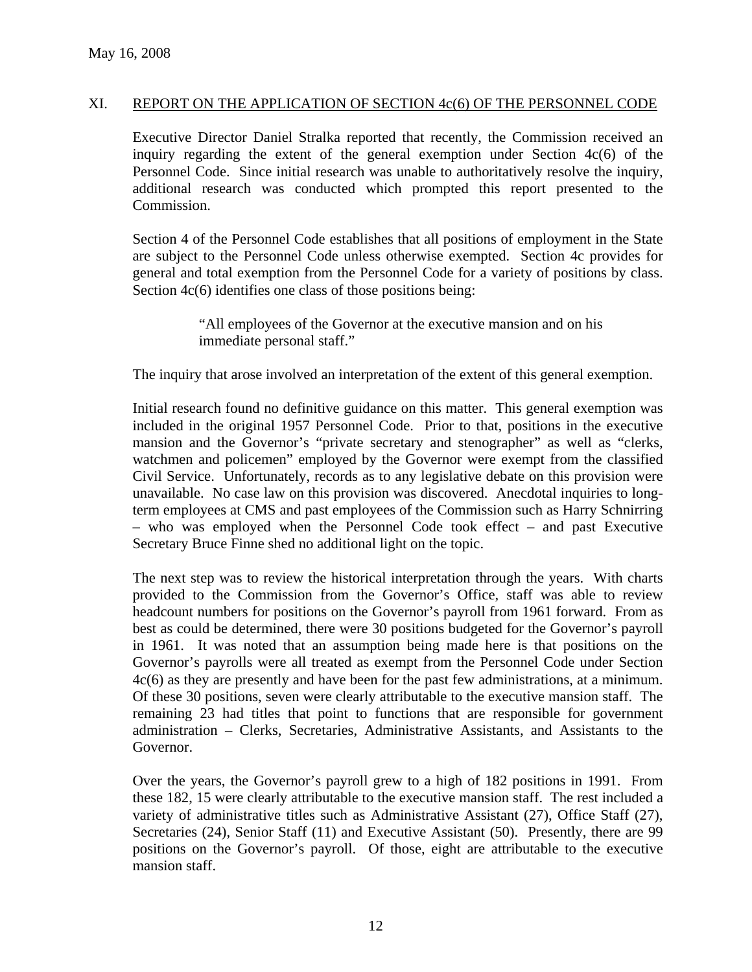#### XI. REPORT ON THE APPLICATION OF SECTION 4c(6) OF THE PERSONNEL CODE

Executive Director Daniel Stralka reported that recently, the Commission received an inquiry regarding the extent of the general exemption under Section 4c(6) of the Personnel Code. Since initial research was unable to authoritatively resolve the inquiry, additional research was conducted which prompted this report presented to the Commission.

Section 4 of the Personnel Code establishes that all positions of employment in the State are subject to the Personnel Code unless otherwise exempted. Section 4c provides for general and total exemption from the Personnel Code for a variety of positions by class. Section  $4c(6)$  identifies one class of those positions being:

> "All employees of the Governor at the executive mansion and on his immediate personal staff."

The inquiry that arose involved an interpretation of the extent of this general exemption.

Initial research found no definitive guidance on this matter. This general exemption was included in the original 1957 Personnel Code. Prior to that, positions in the executive mansion and the Governor's "private secretary and stenographer" as well as "clerks, watchmen and policemen" employed by the Governor were exempt from the classified Civil Service. Unfortunately, records as to any legislative debate on this provision were unavailable. No case law on this provision was discovered. Anecdotal inquiries to longterm employees at CMS and past employees of the Commission such as Harry Schnirring – who was employed when the Personnel Code took effect – and past Executive Secretary Bruce Finne shed no additional light on the topic.

The next step was to review the historical interpretation through the years. With charts provided to the Commission from the Governor's Office, staff was able to review headcount numbers for positions on the Governor's payroll from 1961 forward. From as best as could be determined, there were 30 positions budgeted for the Governor's payroll in 1961. It was noted that an assumption being made here is that positions on the Governor's payrolls were all treated as exempt from the Personnel Code under Section 4c(6) as they are presently and have been for the past few administrations, at a minimum. Of these 30 positions, seven were clearly attributable to the executive mansion staff. The remaining 23 had titles that point to functions that are responsible for government administration – Clerks, Secretaries, Administrative Assistants, and Assistants to the Governor.

Over the years, the Governor's payroll grew to a high of 182 positions in 1991. From these 182, 15 were clearly attributable to the executive mansion staff. The rest included a variety of administrative titles such as Administrative Assistant (27), Office Staff (27), Secretaries (24), Senior Staff (11) and Executive Assistant (50). Presently, there are 99 positions on the Governor's payroll. Of those, eight are attributable to the executive mansion staff.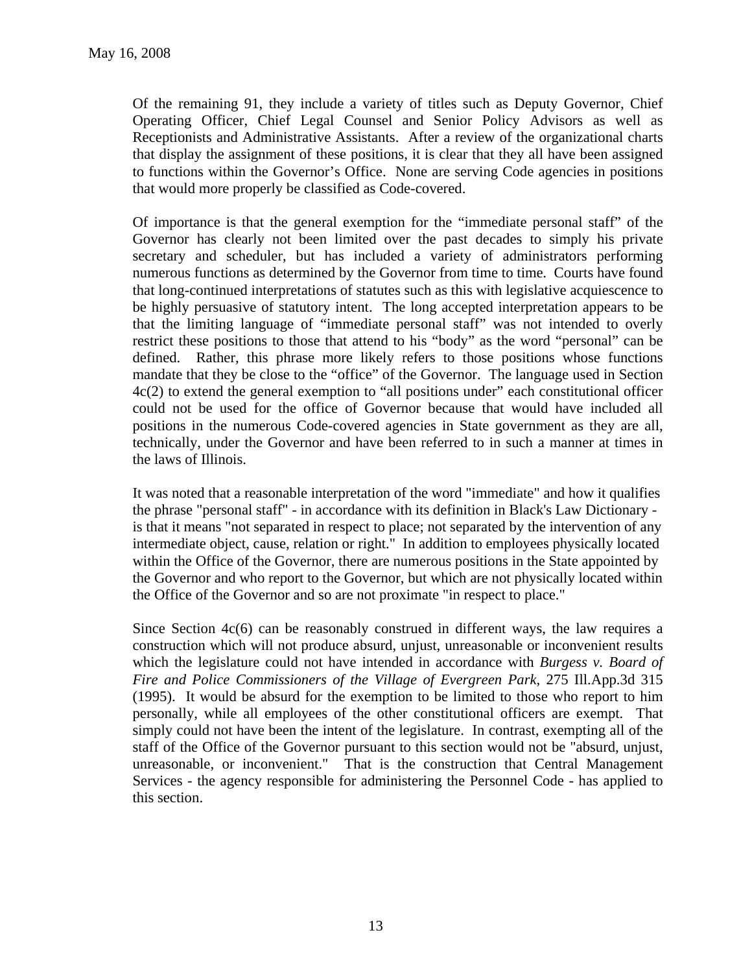Of the remaining 91, they include a variety of titles such as Deputy Governor, Chief Operating Officer, Chief Legal Counsel and Senior Policy Advisors as well as Receptionists and Administrative Assistants. After a review of the organizational charts that display the assignment of these positions, it is clear that they all have been assigned to functions within the Governor's Office. None are serving Code agencies in positions that would more properly be classified as Code-covered.

Of importance is that the general exemption for the "immediate personal staff" of the Governor has clearly not been limited over the past decades to simply his private secretary and scheduler, but has included a variety of administrators performing numerous functions as determined by the Governor from time to time. Courts have found that long-continued interpretations of statutes such as this with legislative acquiescence to be highly persuasive of statutory intent. The long accepted interpretation appears to be that the limiting language of "immediate personal staff" was not intended to overly restrict these positions to those that attend to his "body" as the word "personal" can be defined. Rather, this phrase more likely refers to those positions whose functions mandate that they be close to the "office" of the Governor. The language used in Section 4c(2) to extend the general exemption to "all positions under" each constitutional officer could not be used for the office of Governor because that would have included all positions in the numerous Code-covered agencies in State government as they are all, technically, under the Governor and have been referred to in such a manner at times in the laws of Illinois.

It was noted that a reasonable interpretation of the word "immediate" and how it qualifies the phrase "personal staff" - in accordance with its definition in Black's Law Dictionary is that it means "not separated in respect to place; not separated by the intervention of any intermediate object, cause, relation or right." In addition to employees physically located within the Office of the Governor, there are numerous positions in the State appointed by the Governor and who report to the Governor, but which are not physically located within the Office of the Governor and so are not proximate "in respect to place."

Since Section  $4c(6)$  can be reasonably construed in different ways, the law requires a construction which will not produce absurd, unjust, unreasonable or inconvenient results which the legislature could not have intended in accordance with *Burgess v. Board of Fire and Police Commissioners of the Village of Evergreen Park*, 275 Ill.App.3d 315 (1995). It would be absurd for the exemption to be limited to those who report to him personally, while all employees of the other constitutional officers are exempt. That simply could not have been the intent of the legislature. In contrast, exempting all of the staff of the Office of the Governor pursuant to this section would not be "absurd, unjust, unreasonable, or inconvenient." That is the construction that Central Management Services - the agency responsible for administering the Personnel Code - has applied to this section.